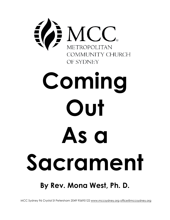

# **By Rev. Mona West, Ph. D.**

MCC Sydney 96 Crystal St Petersham 2049 95695122 www.mccsydney.org office@mccsydney.org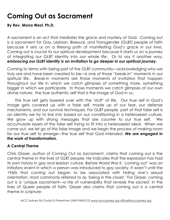## **Coming Out as Sacrament**

**By Rev. Mona West, Ph.D.**

A sacrament is an act that mediates the grace and mystery of God. Coming out is a sacrament for Gay, Lesbian, Bisexual, and Transgender (GLBT) people of faith because it sets us on a lifelong path of manifesting God's grace in our lives. Coming out is crucial to our spiritual development because it starts us on a journey of integrating our GLBT identity into our whole life. Or to say it another way: *embracing our GLBT identity is an invitation to go deeper in our spiritual journey.*

Coming to terms with being part of the GLBT community—acknowledging who we truly are and have been created to be—is one of those "break-in" moments in our spiritual life. Break-in moments are those moments of invitation that happen throughout our life in which we catch glimpses of something more, something bigger in which we participate. In those moments we catch glimpses of our own divine nature: the true authentic self that is the image of God in us.

This true self gets layered over with the 'stuff' of life. Our true self in God's image gets covered up with a false self, made up of our fear, our defense mechanisms, and our survival techniques. For GLBT people, part of that false self is an identity we try to live *into* based on our conditioning in a heterosexist culture. We grow up with strong messages that are counter to our true self. We accumulate layers of the false self trying to fit into a heterosexist ideal. When we come out, we let go of this false image and we begin the process of making room for our true self to emerge—the true self that God intended. *We are engaged in the work of transformation.*

### **A Central Theme**

Chris Glaser, author of *Coming Out as Sacrament*, claims that coming out is the central theme in the lives of GLBT people. He indicates that the expression has had its own history in gay and lesbian culture. Before World War II, 'coming out' was an initiatory event in which a person was introduced to gay society. It wasn't until the 1960s that coming out began to be associated with hiding one's sexual orientation, most commonly referred to as 'being in the closet.' For Glaser, coming out is a 'unique sacrament—a rite of vulnerability that reveals the sacred' in the lives of Queer people of faith. Glaser also claims that coming out is a central theme in scripture: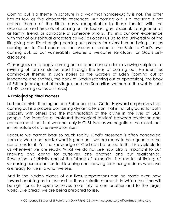Coming out is a theme in scripture in a way that homosexuality is not. The latter has as few as five debatable references. But coming out is a recurring if not central theme of the Bible, easily recognizable to those familiar with the experience and process of coming out as lesbian, gay, bisexual, transgender, or as family, friend, or advocate of someone who is. This links our own experience with that of our spiritual ancestors as well as opens us up to the universality of the life-giving and life-changing coming-out process for every human being. Just as coming out to God opens up the chosen or called in the Bible to God's own coming out, so our vulnerability creates a welcome sanctuary for God's selfdisclosure.

Glaser goes on to apply coming out as a hermeneutic for re-viewing scripture—a revisiting of familiar stories read through the lens of coming out. He identifies coming-out themes in such stories as the Garden of Eden (coming out of innocence and shame), the book of Exodus (coming out of oppression), the book of Esther (coming out of privilege), and the Samaritan woman at the well in John 4.1-42 (coming out as ourselves).

#### **A Profound Spiritual Process**

Lesbian feminist theologian and Episcopal priest Carter Heyward emphasizes that coming out is a process containing dynamic tension that is fruitful ground for both solidarity with others and the manifestation of the divine in the lives of GLBT people. She identifies a 'profound theological tension' between revelation and concealment that is at work not only in GLBT lives as we negotiate the closet, but in the nature of divine revelation itself:

Because we cannot bear so much reality, God's presence is often concealed from us: We do not realize what is good until we are ready to help generate the conditions for it. Yet the knowledge of God can be called forth. It is available to us whenever we are ready. What we do not see now also is important to our knowing and caring for ourselves, one another, and our relationships. Revelation—of divinity and of the fullness of humanity—is a matter of timing, of seasoning our capacities to risk seeing and showing forth our goodness when we are ready to live into what we see.

And in the hidden places of our lives, preparations can be made even now toward enabling us to respond to those kairotic moments in which the time will be right for us to open ourselves more fully to one another and to the larger world. Like bread, we are being prepared to rise.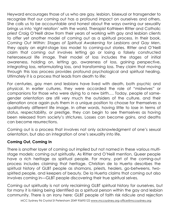Heyward encourages those of us who are gay, lesbian, bisexual or transgender to recognize that our coming out has a profound impact on ourselves and others. She calls us to be accountable and honest about the ways owning our sexuality brings us into 'right relation' with the world. Therapist Kathleen Ritter and Catholic priest Craig O'Neill draw from their years of working with gay and lesbian clients to offer yet another model of coming out as a spiritual process. In their book, *Coming Out Within: Stages of Spiritual Awakening for Lesbians and Gay Men*, they apply an eight-stage loss model to coming-out stories. Ritter and O'Neill claim that coming out involves letting go or losing a falsely constructed heterosexual life image. Their model of loss includes the stages of initial awareness, holding on, letting go, awareness of loss, gaining perspective, integrating loss, reformulating loss, and transforming loss. They claim that moving through this loss process provides profound psychological and spiritual healing. Ultimately it is a process that leads from death to life:

For centuries, gay men and lesbians have lived with death, both psychic and physical. In earlier cultures, they were accorded the role of "midwives" or companions for those who were dying to a new birth…. Today, people of samegender orientation are still very much the outsiders of the culture, and their alienation once again puts them in a unique position to choose for themselves a qualitatively different life image. In other words, having little to lose in terms of status, respectability, or prestige, they can begin to see themselves as having been released from society's strictures. Losses can become gains, and deaths can become resurrections.

Coming out is a process that involves not only acknowledgment of one's sexual orientation, but also an integration of one's sexuality into life.

#### **Coming Out, Coming In**

There is another layer of coming out implied but not named in these various multistage models: coming out spiritually. As Ritter and O'Neill mention, Queer people have a rich heritage as spiritual people. For many, part of the coming-out process includes claiming that heritage. Christian de la Huerta describes the spiritual history of GLBT people as shamans, priests, healers, go-betweens, twospirited people, and keepers of beauty. De la Huerta claims that coming out also involves coming in—GLBT people discovering their true spiritual selves.

Coming out spiritually is not only reclaiming GLBT spiritual history for ourselves, but for many it is risking being identified as a spiritual person within the gay and lesbian community. There is an irony here: GLBT people of faith risk ridicule and rejection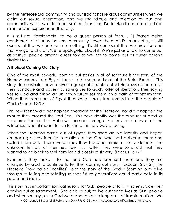by the heterosexual community and our traditional religious communities when we claim our sexual orientation, and we risk ridicule and rejection by our own community when we claim our spiritual identities. De la Huerta quotes a lesbian minister who experienced this irony:

It is still not 'fashionable' to be a queer person of faith…. [I] feared being considered a traitor by the very community I loved the most. For many of us, it's still our secret that we believe in something. It's still our secret that we practice and that we go to church. We're apologetic about it. We're just as afraid to come out as spiritual people among queer folk as we are to come out as queer among straight folk.

#### **A Biblical Coming Out Story**

One of the most powerful coming out stories in all of scripture is the story of the Hebrew exodus from Egypt, found in the second book of the Bible: Exodus. This story demonstrates how a diverse group of people called Hebrews came out of their bondage and slavery by saying yes to God's offer of liberation. Their saying yes to God and risking an unknown future set them on a path of transformation. When they came out of Egypt they were literally transformed into the people of God. (Exodus 19:3-6)

This new identity did not happen overnight for the Hebrews, nor did it happen the minute they crossed the Red Sea. This new identity was the product of gradual transformation as the Hebrews learned through the ups and downs of the wilderness what it meant to live fully into this new way of being.

When the Hebrews came out of Egypt, they shed an old identity and began embracing a new identity in relation to the God who had delivered them and called them out. There were times they became afraid in the wilderness—the unknown territory of their new identity. Often they were so afraid that they wanted to go back to their familiar old closets of slavery. (Exodus 16:1-3)

Eventually they make it to the land God had promised them and they are charged by God to continue to tell their coming out story. (Exodus 12:24-27) The Hebrews (now called Israelites) kept the story of the Exodus (coming out) alive through its telling and retelling so that future generations could participate in its power and reality.

This story has important spiritual lessons for GLBT people of faith who embrace their coming out as sacrament. God calls us out; to live authentic lives as GLBT people and when we say yes to God we are set on a life-long path of transformation. We

MCC Sydney 96 Crystal St Petersham 2049 95695122 www.mccsydney.org office@mccsydney.org